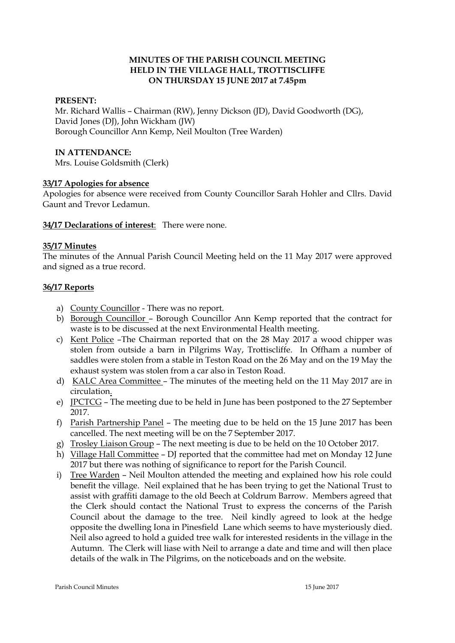#### **MINUTES OF THE PARISH COUNCIL MEETING HELD IN THE VILLAGE HALL, TROTTISCLIFFE ON THURSDAY 15 JUNE 2017 at 7.45pm**

#### **PRESENT:**

Mr. Richard Wallis – Chairman (RW), Jenny Dickson (JD), David Goodworth (DG), David Jones (DJ), John Wickham (JW) Borough Councillor Ann Kemp, Neil Moulton (Tree Warden)

#### **IN ATTENDANCE:**

Mrs. Louise Goldsmith (Clerk)

### **33/17 Apologies for absence**

Apologies for absence were received from County Councillor Sarah Hohler and Cllrs. David Gaunt and Trevor Ledamun.

**34/17 Declarations of interest**: There were none.

#### **35/17 Minutes**

The minutes of the Annual Parish Council Meeting held on the 11 May 2017 were approved and signed as a true record.

### **36/17 Reports**

- a) County Councillor There was no report.
- b) Borough Councillor Borough Councillor Ann Kemp reported that the contract for waste is to be discussed at the next Environmental Health meeting.
- c) Kent Police –The Chairman reported that on the 28 May 2017 a wood chipper was stolen from outside a barn in Pilgrims Way, Trottiscliffe. In Offham a number of saddles were stolen from a stable in Teston Road on the 26 May and on the 19 May the exhaust system was stolen from a car also in Teston Road.
- d) KALC Area Committee The minutes of the meeting held on the 11 May 2017 are in circulation.
- e) JPCTCG The meeting due to be held in June has been postponed to the 27 September 2017.
- f) Parish Partnership Panel The meeting due to be held on the 15 June 2017 has been cancelled. The next meeting will be on the 7 September 2017.
- g) Trosley Liaison Group The next meeting is due to be held on the 10 October 2017.
- h) Village Hall Committee DJ reported that the committee had met on Monday 12 June 2017 but there was nothing of significance to report for the Parish Council.
- i) Tree Warden Neil Moulton attended the meeting and explained how his role could benefit the village. Neil explained that he has been trying to get the National Trust to assist with graffiti damage to the old Beech at Coldrum Barrow. Members agreed that the Clerk should contact the National Trust to express the concerns of the Parish Council about the damage to the tree. Neil kindly agreed to look at the hedge opposite the dwelling Iona in Pinesfield Lane which seems to have mysteriously died. Neil also agreed to hold a guided tree walk for interested residents in the village in the Autumn. The Clerk will liase with Neil to arrange a date and time and will then place details of the walk in The Pilgrims, on the noticeboads and on the website.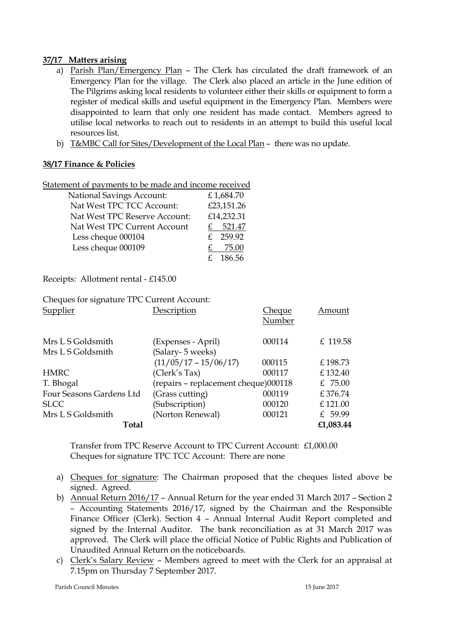## **37/17 Matters arising**

- a) Parish Plan/Emergency Plan The Clerk has circulated the draft framework of an Emergency Plan for the village. The Clerk also placed an article in the June edition of The Pilgrims asking local residents to volunteer either their skills or equipment to form a register of medical skills and useful equipment in the Emergency Plan. Members were disappointed to learn that only one resident has made contact. Members agreed to utilise local networks to reach out to residents in an attempt to build this useful local resources list.
- b) T&MBC Call for Sites/Development of the Local Plan there was no update.

## **38/17 Finance & Policies**

| Statement of payments to be made and income received |
|------------------------------------------------------|
|------------------------------------------------------|

| <b>National Savings Account:</b> | £1,684.70  |
|----------------------------------|------------|
| Nat West TPC TCC Account:        | £23,151.26 |
| Nat West TPC Reserve Account:    | £14,232.31 |
| Nat West TPC Current Account     | 521.47     |
| Less cheque 000104               | £ 259.92   |
| Less cheque 000109               | 75.00      |
|                                  | 186.56     |

Receipts: Allotment rental - £145.00

Cheques for signature TPC Current Account: Supplier Description Cheque Amount

|                          |                                      | - - - - -<br>Number |           |
|--------------------------|--------------------------------------|---------------------|-----------|
| Mrs L S Goldsmith        | (Expenses - April)                   | 000114              | £ 119.58  |
| Mrs L S Goldsmith        | (Salary- 5 weeks)                    |                     |           |
|                          | $(11/05/17 - 15/06/17)$              | 000115              | £198.73   |
| <b>HMRC</b>              | (Clerk's Tax)                        | 000117              | £132.40   |
| T. Bhogal                | (repairs - replacement cheque)000118 |                     | £ 75.00   |
| Four Seasons Gardens Ltd | (Grass cutting)                      | 000119              | £376.74   |
| <b>SLCC</b>              | (Subscription)                       | 000120              | £121.00   |
| Mrs L S Goldsmith        | (Norton Renewal)                     | 000121              | £ 59.99   |
| Total                    |                                      |                     | £1,083.44 |

Transfer from TPC Reserve Account to TPC Current Account: £1,000.00 Cheques for signature TPC TCC Account: There are none

- a) Cheques for signature: The Chairman proposed that the cheques listed above be signed. Agreed.
- b) Annual Return 2016/17 Annual Return for the year ended 31 March 2017 Section 2 – Accounting Statements 2016/17, signed by the Chairman and the Responsible Finance Officer (Clerk). Section 4 – Annual Internal Audit Report completed and signed by the Internal Auditor. The bank reconciliation as at 31 March 2017 was approved. The Clerk will place the official Notice of Public Rights and Publication of Unaudited Annual Return on the noticeboards.
- c) Clerk's Salary Review Members agreed to meet with the Clerk for an appraisal at 7.15pm on Thursday 7 September 2017.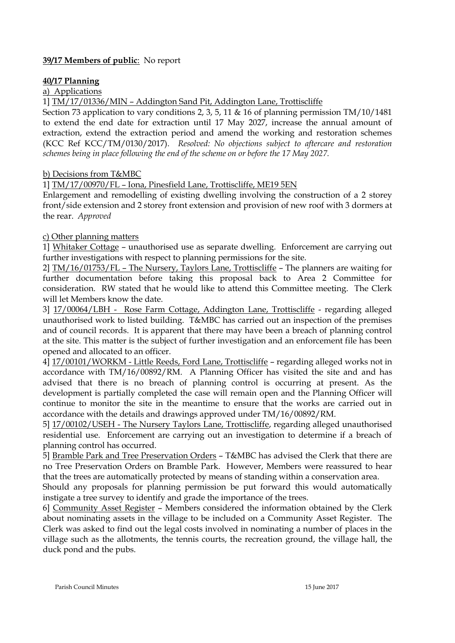## **39/17 Members of public**: No report

## **40/17 Planning**

### a) Applications

1] TM/17/01336/MIN – Addington Sand Pit, Addington Lane, Trottiscliffe

Section 73 application to vary conditions 2, 3, 5, 11 & 16 of planning permission TM/10/1481 to extend the end date for extraction until 17 May 2027, increase the annual amount of extraction, extend the extraction period and amend the working and restoration schemes (KCC Ref KCC/TM/0130/2017). *Resolved: No objections subject to aftercare and restoration schemes being in place following the end of the scheme on or before the 17 May 2027.*

### b) Decisions from T&MBC

1] TM/17/00970/FL – Iona, Pinesfield Lane, Trottiscliffe, ME19 5EN

Enlargement and remodelling of existing dwelling involving the construction of a 2 storey front/side extension and 2 storey front extension and provision of new roof with 3 dormers at the rear. *Approved*

### c) Other planning matters

1] Whitaker Cottage – unauthorised use as separate dwelling. Enforcement are carrying out further investigations with respect to planning permissions for the site.

2] TM/16/01753/FL – The Nursery, Taylors Lane, Trottiscliffe – The planners are waiting for further documentation before taking this proposal back to Area 2 Committee for consideration. RW stated that he would like to attend this Committee meeting. The Clerk will let Members know the date.

3] 17/00064/LBH - Rose Farm Cottage, Addington Lane, Trottiscliffe - regarding alleged unauthorised work to listed building. T&MBC has carried out an inspection of the premises and of council records. It is apparent that there may have been a breach of planning control at the site. This matter is the subject of further investigation and an enforcement file has been opened and allocated to an officer.

4] 17/00101/WORKM - Little Reeds, Ford Lane, Trottiscliffe – regarding alleged works not in accordance with TM/16/00892/RM. A Planning Officer has visited the site and and has advised that there is no breach of planning control is occurring at present. As the development is partially completed the case will remain open and the Planning Officer will continue to monitor the site in the meantime to ensure that the works are carried out in accordance with the details and drawings approved under TM/16/00892/RM.

5] 17/00102/USEH - The Nursery Taylors Lane, Trottiscliffe, regarding alleged unauthorised residential use. Enforcement are carrying out an investigation to determine if a breach of planning control has occurred.

5] Bramble Park and Tree Preservation Orders – T&MBC has advised the Clerk that there are no Tree Preservation Orders on Bramble Park. However, Members were reassured to hear that the trees are automatically protected by means of standing within a conservation area.

Should any proposals for planning permission be put forward this would automatically instigate a tree survey to identify and grade the importance of the trees.

6] Community Asset Register – Members considered the information obtained by the Clerk about nominating assets in the village to be included on a Community Asset Register. The Clerk was asked to find out the legal costs involved in nominating a number of places in the village such as the allotments, the tennis courts, the recreation ground, the village hall, the duck pond and the pubs.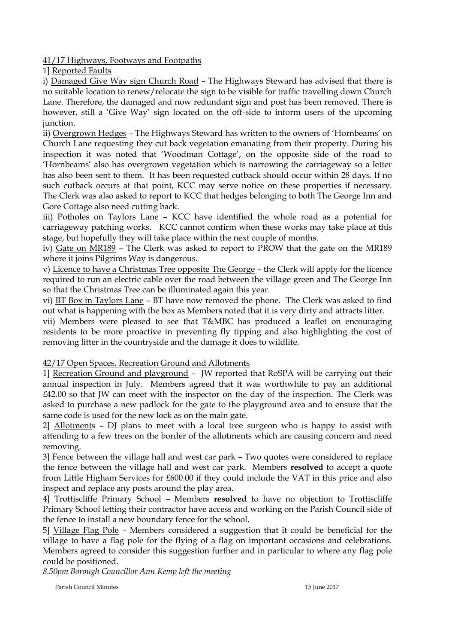41/17 Highways, Footways and Footpaths

1] Reported Faults

i) Damaged Give Way sign Church Road – The Highways Steward has advised that there is no suitable location to renew/relocate the sign to be visible for traffic travelling down Church Lane. Therefore, the damaged and now redundant sign and post has been removed. There is however, still a 'Give Way' sign located on the off-side to inform users of the upcoming junction.

ii) Overgrown Hedges – The Highways Steward has written to the owners of 'Hornbeams' on Church Lane requesting they cut back vegetation emanating from their property. During his inspection it was noted that 'Woodman Cottage', on the opposite side of the road to 'Hornbeams' also has overgrown vegetation which is narrowing the carriageway so a letter has also been sent to them. It has been requested cutback should occur within 28 days. If no such cutback occurs at that point, KCC may serve notice on these properties if necessary. The Clerk was also asked to report to KCC that hedges belonging to both The George Inn and Gore Cottage also need cutting back.

iii) Potholes on Taylors Lane – KCC have identified the whole road as a potential for carriageway patching works. KCC cannot confirm when these works may take place at this stage, but hopefully they will take place within the next couple of months.

iv) Gate on MR189 – The Clerk was asked to report to PROW that the gate on the MR189 where it joins Pilgrims Way is dangerous.

v) Licence to have a Christmas Tree opposite The George – the Clerk will apply for the licence required to run an electric cable over the road between the village green and The George Inn so that the Christmas Tree can be illuminated again this year.

vi) BT Box in Taylors Lane – BT have now removed the phone. The Clerk was asked to find out what is happening with the box as Members noted that it is very dirty and attracts litter.

vii) Members were pleased to see that T&MBC has produced a leaflet on encouraging residents to be more proactive in preventing fly tipping and also highlighting the cost of removing litter in the countryside and the damage it does to wildlife.

# 42/17 Open Spaces, Recreation Ground and Allotments

1] Recreation Ground and playground – JW reported that RoSPA will be carrying out their annual inspection in July. Members agreed that it was worthwhile to pay an additional £42.00 so that JW can meet with the inspector on the day of the inspection. The Clerk was asked to purchase a new padlock for the gate to the playground area and to ensure that the same code is used for the new lock as on the main gate.

2] Allotments – DJ plans to meet with a local tree surgeon who is happy to assist with attending to a few trees on the border of the allotments which are causing concern and need removing.

3] Fence between the village hall and west car park – Two quotes were considered to replace the fence between the village hall and west car park. Members **resolved** to accept a quote from Little Higham Services for £600.00 if they could include the VAT in this price and also inspect and replace any posts around the play area.

4] Trottiscliffe Primary School – Members **resolved** to have no objection to Trottiscliffe Primary School letting their contractor have access and working on the Parish Council side of the fence to install a new boundary fence for the school.

5] Village Flag Pole – Members considered a suggestion that it could be beneficial for the village to have a flag pole for the flying of a flag on important occasions and celebrations. Members agreed to consider this suggestion further and in particular to where any flag pole could be positioned.

*8.50pm Borough Councillor Ann Kemp left the meeting*

Parish Council Minutes 15 June 2017